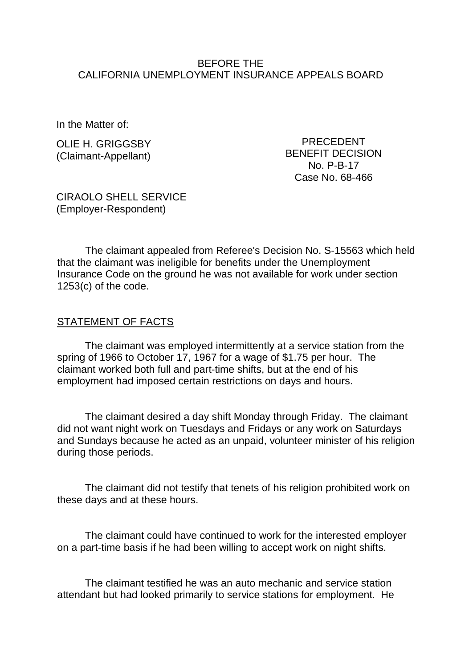## BEFORE THE CALIFORNIA UNEMPLOYMENT INSURANCE APPEALS BOARD

In the Matter of:

OLIE H. GRIGGSBY (Claimant-Appellant)

PRECEDENT BENEFIT DECISION No. P-B-17 Case No. 68-466

CIRAOLO SHELL SERVICE (Employer-Respondent)

The claimant appealed from Referee's Decision No. S-15563 which held that the claimant was ineligible for benefits under the Unemployment Insurance Code on the ground he was not available for work under section 1253(c) of the code.

## STATEMENT OF FACTS

The claimant was employed intermittently at a service station from the spring of 1966 to October 17, 1967 for a wage of \$1.75 per hour. The claimant worked both full and part-time shifts, but at the end of his employment had imposed certain restrictions on days and hours.

The claimant desired a day shift Monday through Friday. The claimant did not want night work on Tuesdays and Fridays or any work on Saturdays and Sundays because he acted as an unpaid, volunteer minister of his religion during those periods.

The claimant did not testify that tenets of his religion prohibited work on these days and at these hours.

The claimant could have continued to work for the interested employer on a part-time basis if he had been willing to accept work on night shifts.

The claimant testified he was an auto mechanic and service station attendant but had looked primarily to service stations for employment. He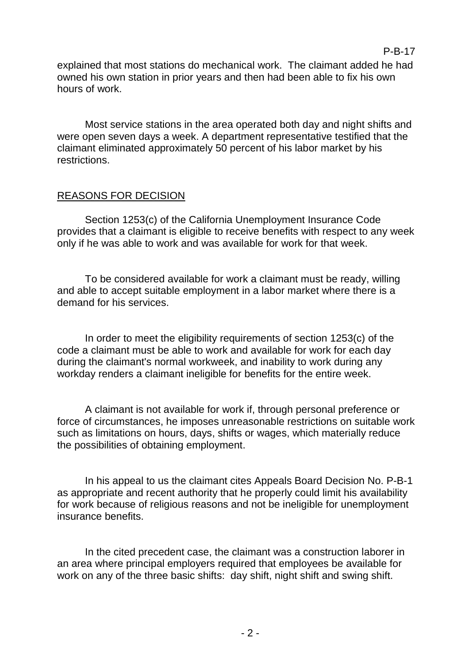explained that most stations do mechanical work. The claimant added he had owned his own station in prior years and then had been able to fix his own hours of work.

Most service stations in the area operated both day and night shifts and were open seven days a week. A department representative testified that the claimant eliminated approximately 50 percent of his labor market by his restrictions.

## REASONS FOR DECISION

Section 1253(c) of the California Unemployment Insurance Code provides that a claimant is eligible to receive benefits with respect to any week only if he was able to work and was available for work for that week.

To be considered available for work a claimant must be ready, willing and able to accept suitable employment in a labor market where there is a demand for his services.

In order to meet the eligibility requirements of section 1253(c) of the code a claimant must be able to work and available for work for each day during the claimant's normal workweek, and inability to work during any workday renders a claimant ineligible for benefits for the entire week.

A claimant is not available for work if, through personal preference or force of circumstances, he imposes unreasonable restrictions on suitable work such as limitations on hours, days, shifts or wages, which materially reduce the possibilities of obtaining employment.

In his appeal to us the claimant cites Appeals Board Decision No. P-B-1 as appropriate and recent authority that he properly could limit his availability for work because of religious reasons and not be ineligible for unemployment insurance benefits.

In the cited precedent case, the claimant was a construction laborer in an area where principal employers required that employees be available for work on any of the three basic shifts: day shift, night shift and swing shift.

### P-B-17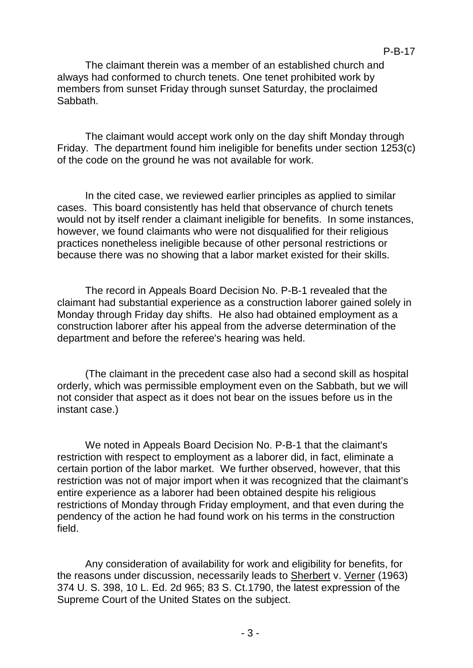P-B-17

The claimant therein was a member of an established church and always had conformed to church tenets. One tenet prohibited work by members from sunset Friday through sunset Saturday, the proclaimed Sabbath.

The claimant would accept work only on the day shift Monday through Friday. The department found him ineligible for benefits under section 1253(c) of the code on the ground he was not available for work.

In the cited case, we reviewed earlier principles as applied to similar cases. This board consistently has held that observance of church tenets would not by itself render a claimant ineligible for benefits. In some instances, however, we found claimants who were not disqualified for their religious practices nonetheless ineligible because of other personal restrictions or because there was no showing that a labor market existed for their skills.

The record in Appeals Board Decision No. P-B-1 revealed that the claimant had substantial experience as a construction laborer gained solely in Monday through Friday day shifts. He also had obtained employment as a construction laborer after his appeal from the adverse determination of the department and before the referee's hearing was held.

(The claimant in the precedent case also had a second skill as hospital orderly, which was permissible employment even on the Sabbath, but we will not consider that aspect as it does not bear on the issues before us in the instant case.)

We noted in Appeals Board Decision No. P-B-1 that the claimant's restriction with respect to employment as a laborer did, in fact, eliminate a certain portion of the labor market. We further observed, however, that this restriction was not of major import when it was recognized that the claimant's entire experience as a laborer had been obtained despite his religious restrictions of Monday through Friday employment, and that even during the pendency of the action he had found work on his terms in the construction field.

Any consideration of availability for work and eligibility for benefits, for the reasons under discussion, necessarily leads to Sherbert v. Verner (1963) 374 U. S. 398, 10 L. Ed. 2d 965; 83 S. Ct.1790, the latest expression of the Supreme Court of the United States on the subject.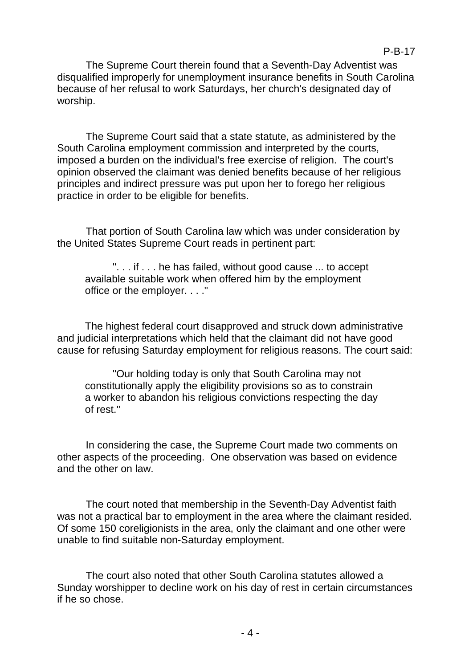The Supreme Court therein found that a Seventh-Day Adventist was disqualified improperly for unemployment insurance benefits in South Carolina because of her refusal to work Saturdays, her church's designated day of worship.

P-B-17

The Supreme Court said that a state statute, as administered by the South Carolina employment commission and interpreted by the courts, imposed a burden on the individual's free exercise of religion. The court's opinion observed the claimant was denied benefits because of her religious principles and indirect pressure was put upon her to forego her religious practice in order to be eligible for benefits.

That portion of South Carolina law which was under consideration by the United States Supreme Court reads in pertinent part:

". . . if . . . he has failed, without good cause ... to accept available suitable work when offered him by the employment office or the employer. . . ."

The highest federal court disapproved and struck down administrative and judicial interpretations which held that the claimant did not have good cause for refusing Saturday employment for religious reasons. The court said:

"Our holding today is only that South Carolina may not constitutionally apply the eligibility provisions so as to constrain a worker to abandon his religious convictions respecting the day of rest."

In considering the case, the Supreme Court made two comments on other aspects of the proceeding. One observation was based on evidence and the other on law.

The court noted that membership in the Seventh-Day Adventist faith was not a practical bar to employment in the area where the claimant resided. Of some 150 coreligionists in the area, only the claimant and one other were unable to find suitable non-Saturday employment.

The court also noted that other South Carolina statutes allowed a Sunday worshipper to decline work on his day of rest in certain circumstances if he so chose.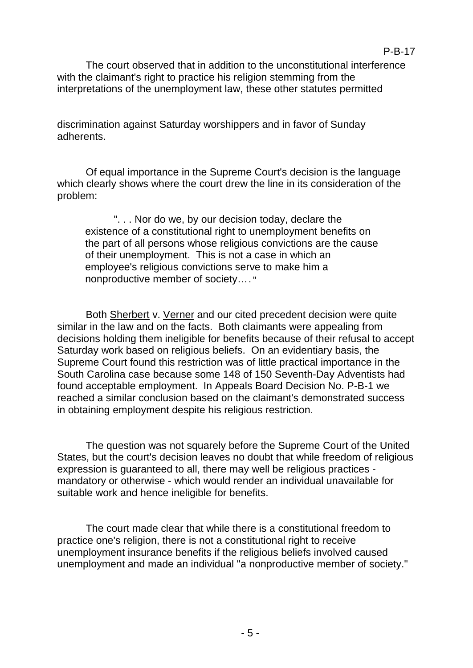The court observed that in addition to the unconstitutional interference with the claimant's right to practice his religion stemming from the interpretations of the unemployment law, these other statutes permitted

discrimination against Saturday worshippers and in favor of Sunday adherents.

Of equal importance in the Supreme Court's decision is the language which clearly shows where the court drew the line in its consideration of the problem:

". . . Nor do we, by our decision today, declare the existence of a constitutional right to unemployment benefits on the part of all persons whose religious convictions are the cause of their unemployment. This is not a case in which an employee's religious convictions serve to make him a nonproductive member of society…."

Both Sherbert v. Verner and our cited precedent decision were quite similar in the law and on the facts. Both claimants were appealing from decisions holding them ineligible for benefits because of their refusal to accept Saturday work based on religious beliefs. On an evidentiary basis, the Supreme Court found this restriction was of little practical importance in the South Carolina case because some 148 of 150 Seventh-Day Adventists had found acceptable employment. In Appeals Board Decision No. P-B-1 we reached a similar conclusion based on the claimant's demonstrated success in obtaining employment despite his religious restriction.

The question was not squarely before the Supreme Court of the United States, but the court's decision leaves no doubt that while freedom of religious expression is guaranteed to all, there may well be religious practices mandatory or otherwise - which would render an individual unavailable for suitable work and hence ineligible for benefits.

The court made clear that while there is a constitutional freedom to practice one's religion, there is not a constitutional right to receive unemployment insurance benefits if the religious beliefs involved caused unemployment and made an individual "a nonproductive member of society."

# P-B-17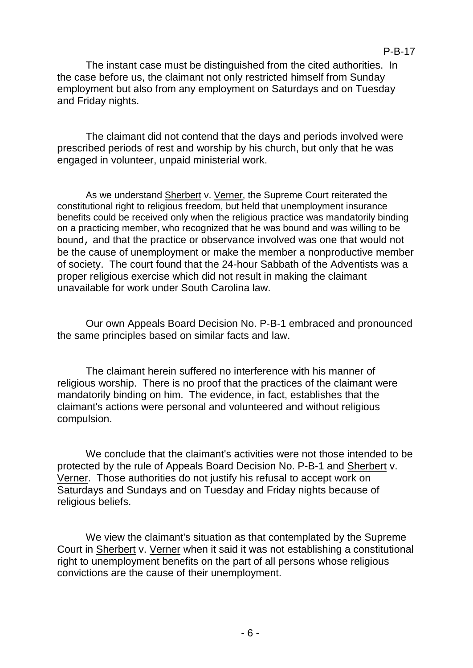The instant case must be distinguished from the cited authorities. In the case before us, the claimant not only restricted himself from Sunday employment but also from any employment on Saturdays and on Tuesday and Friday nights.

The claimant did not contend that the days and periods involved were prescribed periods of rest and worship by his church, but only that he was engaged in volunteer, unpaid ministerial work.

As we understand Sherbert v. Verner, the Supreme Court reiterated the constitutional right to religious freedom, but held that unemployment insurance benefits could be received only when the religious practice was mandatorily binding on a practicing member, who recognized that he was bound and was willing to be bound, and that the practice or observance involved was one that would not be the cause of unemployment or make the member a nonproductive member of society. The court found that the 24-hour Sabbath of the Adventists was a proper religious exercise which did not result in making the claimant unavailable for work under South Carolina law.

Our own Appeals Board Decision No. P-B-1 embraced and pronounced the same principles based on similar facts and law.

The claimant herein suffered no interference with his manner of religious worship. There is no proof that the practices of the claimant were mandatorily binding on him. The evidence, in fact, establishes that the claimant's actions were personal and volunteered and without religious compulsion.

We conclude that the claimant's activities were not those intended to be protected by the rule of Appeals Board Decision No. P-B-1 and Sherbert v. Verner. Those authorities do not justify his refusal to accept work on Saturdays and Sundays and on Tuesday and Friday nights because of religious beliefs.

We view the claimant's situation as that contemplated by the Supreme Court in Sherbert v. Verner when it said it was not establishing a constitutional right to unemployment benefits on the part of all persons whose religious convictions are the cause of their unemployment.